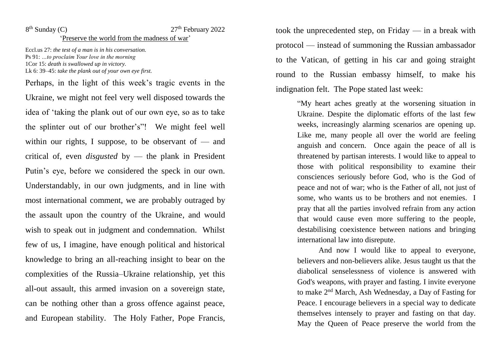## $8<sup>th</sup>$  Sunday (C)

## $27<sup>th</sup>$  February 2022

'Preserve the world from the madness of war'

Eccl.us 27: *the test of a man is in his conversation.* Ps 91: *…to proclaim Your love in the morning* 1Cor 15: *death is swallowed up in victory.* Lk 6: 39–45: *take the plank out of your own eye first.*

Perhaps, in the light of this week's tragic events in the Ukraine, we might not feel very well disposed towards the idea of 'taking the plank out of our own eye, so as to take the splinter out of our brother's"! We might feel well within our rights, I suppose, to be observant of  $-$  and critical of, even *disgusted* by — the plank in President Putin's eye, before we considered the speck in our own. Understandably, in our own judgments, and in line with most international comment, we are probably outraged by the assault upon the country of the Ukraine, and would wish to speak out in judgment and condemnation. Whilst few of us, I imagine, have enough political and historical knowledge to bring an all-reaching insight to bear on the complexities of the Russia–Ukraine relationship, yet this all-out assault, this armed invasion on a sovereign state, can be nothing other than a gross offence against peace, and European stability. The Holy Father, Pope Francis,

took the unprecedented step, on Friday — in a break with protocol — instead of summoning the Russian ambassador to the Vatican, of getting in his car and going straight round to the Russian embassy himself, to make his indignation felt. The Pope stated last week:

> "My heart aches greatly at the worsening situation in Ukraine. Despite the diplomatic efforts of the last few weeks, increasingly alarming scenarios are opening up. Like me, many people all over the world are feeling anguish and concern. Once again the peace of all is threatened by partisan interests. I would like to appeal to those with political responsibility to examine their consciences seriously before God, who is the God of peace and not of war; who is the Father of all, not just of some, who wants us to be brothers and not enemies. I pray that all the parties involved refrain from any action that would cause even more suffering to the people, destabilising coexistence between nations and bringing international law into disrepute.

> And now I would like to appeal to everyone, believers and non-believers alike. Jesus taught us that the diabolical senselessness of violence is answered with God's weapons, with prayer and fasting. I invite everyone to make 2nd March, Ash Wednesday, a Day of Fasting for Peace. I encourage believers in a special way to dedicate themselves intensely to prayer and fasting on that day. May the Queen of Peace preserve the world from the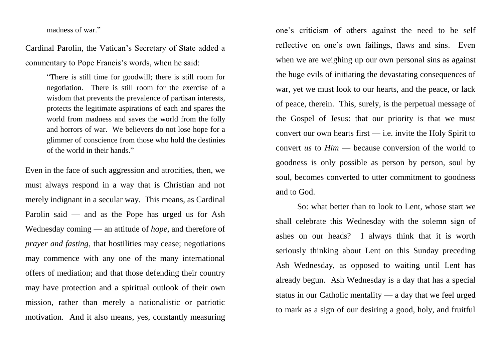madness of war."

Cardinal Parolin, the Vatican's Secretary of State added a commentary to Pope Francis's words, when he said:

> "There is still time for goodwill; there is still room for negotiation. There is still room for the exercise of a wisdom that prevents the prevalence of partisan interests, protects the legitimate aspirations of each and spares the world from madness and saves the world from the folly and horrors of war. We believers do not lose hope for a glimmer of conscience from those who hold the destinies of the world in their hands."

Even in the face of such aggression and atrocities, then, we must always respond in a way that is Christian and not merely indignant in a secular way. This means, as Cardinal Parolin said — and as the Pope has urged us for Ash Wednesday coming — an attitude of *hope*, and therefore of *prayer and fasting*, that hostilities may cease; negotiations may commence with any one of the many international offers of mediation; and that those defending their country may have protection and a spiritual outlook of their own mission, rather than merely a nationalistic or patriotic motivation. And it also means, yes, constantly measuring

one's criticism of others against the need to be self reflective on one's own failings, flaws and sins. Even when we are weighing up our own personal sins as against the huge evils of initiating the devastating consequences of war, yet we must look to our hearts, and the peace, or lack of peace, therein. This, surely, is the perpetual message of the Gospel of Jesus: that our priority is that we must convert our own hearts first  $-$  i.e. invite the Holy Spirit to convert *us* to *Him* — because conversion of the world to goodness is only possible as person by person, soul by soul, becomes converted to utter commitment to goodness and to God.

So: what better than to look to Lent, whose start we shall celebrate this Wednesday with the solemn sign of ashes on our heads? I always think that it is worth seriously thinking about Lent on this Sunday preceding Ash Wednesday, as opposed to waiting until Lent has already begun. Ash Wednesday is a day that has a special status in our Catholic mentality — a day that we feel urged to mark as a sign of our desiring a good, holy, and fruitful